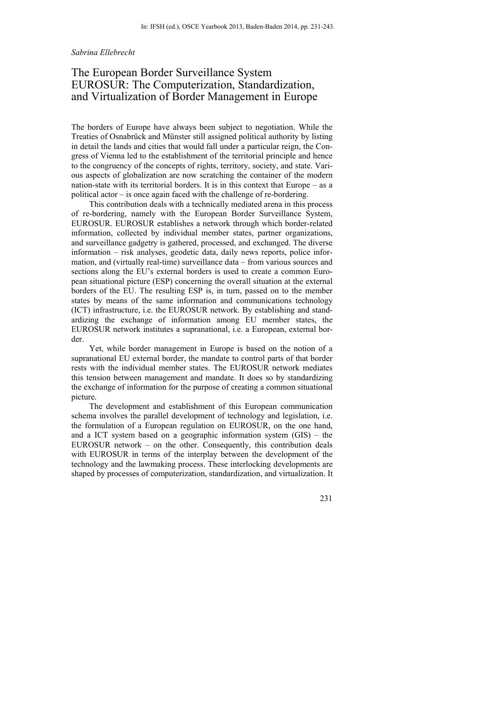#### *Sabrina Ellebrecht*

# The European Border Surveillance System EUROSUR: The Computerization, Standardization, and Virtualization of Border Management in Europe

The borders of Europe have always been subject to negotiation. While the Treaties of Osnabrück and Münster still assigned political authority by listing in detail the lands and cities that would fall under a particular reign, the Congress of Vienna led to the establishment of the territorial principle and hence to the congruency of the concepts of rights, territory, society, and state. Various aspects of globalization are now scratching the container of the modern nation-state with its territorial borders. It is in this context that Europe – as a political actor – is once again faced with the challenge of re-bordering.

This contribution deals with a technically mediated arena in this process of re-bordering, namely with the European Border Surveillance System, EUROSUR. EUROSUR establishes a network through which border-related information, collected by individual member states, partner organizations, and surveillance gadgetry is gathered, processed, and exchanged. The diverse information – risk analyses, geodetic data, daily news reports, police information, and (virtually real-time) surveillance data – from various sources and sections along the EU's external borders is used to create a common European situational picture (ESP) concerning the overall situation at the external borders of the EU. The resulting ESP is, in turn, passed on to the member states by means of the same information and communications technology (ICT) infrastructure, i.e. the EUROSUR network. By establishing and standardizing the exchange of information among EU member states, the EUROSUR network institutes a supranational, i.e. a European, external border.

Yet, while border management in Europe is based on the notion of a supranational EU external border, the mandate to control parts of that border rests with the individual member states. The EUROSUR network mediates this tension between management and mandate. It does so by standardizing the exchange of information for the purpose of creating a common situational picture.

The development and establishment of this European communication schema involves the parallel development of technology and legislation, i.e. the formulation of a European regulation on EUROSUR, on the one hand, and a ICT system based on a geographic information system (GIS) – the EUROSUR network – on the other. Consequently, this contribution deals with EUROSUR in terms of the interplay between the development of the technology and the lawmaking process. These interlocking developments are shaped by processes of computerization, standardization, and virtualization. It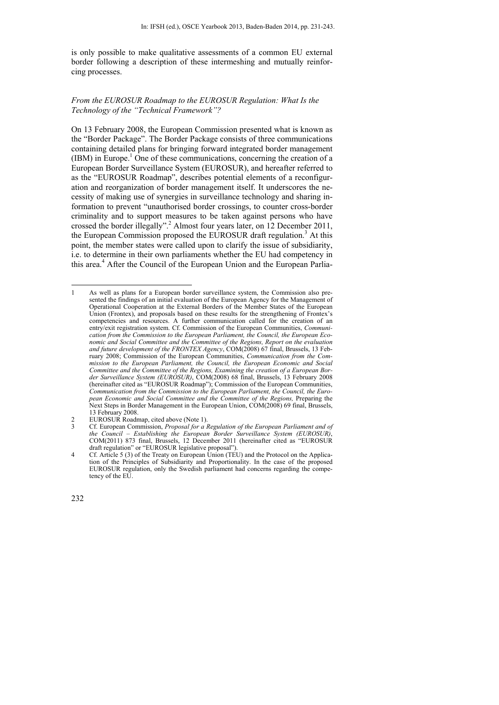is only possible to make qualitative assessments of a common EU external border following a description of these intermeshing and mutually reinforcing processes.

### *From the EUROSUR Roadmap to the EUROSUR Regulation: What Is the Technology of the "Technical Framework"?*

On 13 February 2008, the European Commission presented what is known as the "Border Package". The Border Package consists of three communications containing detailed plans for bringing forward integrated border management  $(IBM)$  in Europe.<sup>1</sup> One of these communications, concerning the creation of a European Border Surveillance System (EUROSUR), and hereafter referred to as the "EUROSUR Roadmap", describes potential elements of a reconfiguration and reorganization of border management itself. It underscores the necessity of making use of synergies in surveillance technology and sharing information to prevent "unauthorised border crossings, to counter cross-border criminality and to support measures to be taken against persons who have crossed the border illegally".<sup>2</sup> Almost four years later, on 12 December 2011, the European Commission proposed the EUROSUR draft regulation.<sup>3</sup> At this point, the member states were called upon to clarify the issue of subsidiarity, i.e. to determine in their own parliaments whether the EU had competency in this area.<sup>4</sup> After the Council of the European Union and the European Parlia-

<sup>1</sup> 1 As well as plans for a European border surveillance system, the Commission also presented the findings of an initial evaluation of the European Agency for the Management of Operational Cooperation at the External Borders of the Member States of the European Union (Frontex), and proposals based on these results for the strengthening of Frontex's competencies and resources. A further communication called for the creation of an entry/exit registration system. Cf. Commission of the European Communities, *Communication from the Commission to the European Parliament, the Council, the European Economic and Social Committee and the Committee of the Regions, Report on the evaluation and future development of the FRONTEX Agency*, COM(2008) 67 final, Brussels, 13 February 2008; Commission of the European Communities, *Communication from the Commission to the European Parliament, the Council, the European Economic and Social Committee and the Committee of the Regions, Examining the creation of a European Border Surveillance System (EUROSUR)*, COM(2008) 68 final, Brussels, 13 February 2008 (hereinafter cited as "EUROSUR Roadmap"); Commission of the European Communities, *Communication from the Commission to the European Parliament, the Council, the European Economic and Social Committee and the Committee of the Regions,* Preparing the Next Steps in Border Management in the European Union, COM(2008) 69 final, Brussels, 13 February 2008.

<sup>2</sup> EUROSUR Roadmap, cited above (Note 1).<br>
2 Cf European Commission *Proposal for a* 

<sup>3</sup> Cf. European Commission, *Proposal for a Regulation of the European Parliament and of the Council – Establishing the European Border Surveillance System (EUROSUR)*, COM(2011) 873 final, Brussels, 12 December 2011 (hereinafter cited as "EUROSUR draft regulation" or "EUROSUR legislative proposal").

<sup>4</sup> Cf. Article 5 (3) of the Treaty on European Union (TEU) and the Protocol on the Application of the Principles of Subsidiarity and Proportionality. In the case of the proposed EUROSUR regulation, only the Swedish parliament had concerns regarding the competency of the EU.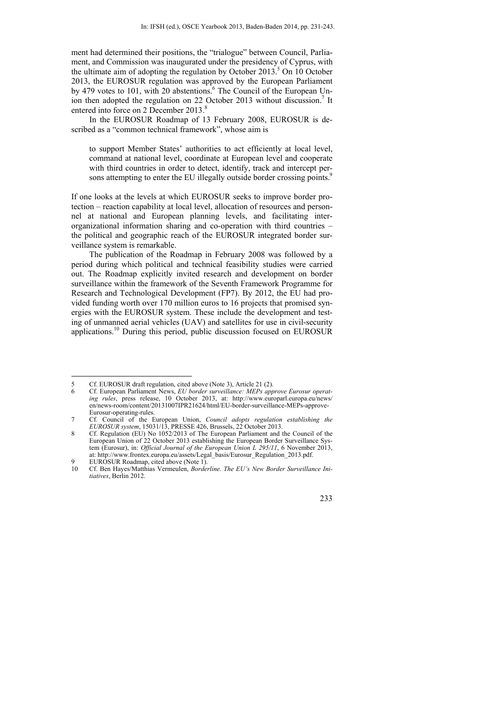ment had determined their positions, the "trialogue" between Council, Parliament, and Commission was inaugurated under the presidency of Cyprus, with the ultimate aim of adopting the regulation by October 2013.<sup>5</sup> On 10 October 2013, the EUROSUR regulation was approved by the European Parliament by 479 votes to 101, with 20 abstentions.<sup>6</sup> The Council of the European Union then adopted the regulation on 22 October 2013 without discussion.<sup>7</sup> It entered into force on 2 December 2013.<sup>8</sup>

In the EUROSUR Roadmap of 13 February 2008, EUROSUR is described as a "common technical framework", whose aim is

to support Member States' authorities to act efficiently at local level, command at national level, coordinate at European level and cooperate with third countries in order to detect, identify, track and intercept persons attempting to enter the EU illegally outside border crossing points.<sup>9</sup>

If one looks at the levels at which EUROSUR seeks to improve border protection – reaction capability at local level, allocation of resources and personnel at national and European planning levels, and facilitating interorganizational information sharing and co-operation with third countries – the political and geographic reach of the EUROSUR integrated border surveillance system is remarkable.

The publication of the Roadmap in February 2008 was followed by a period during which political and technical feasibility studies were carried out. The Roadmap explicitly invited research and development on border surveillance within the framework of the Seventh Framework Programme for Research and Technological Development (FP7). By 2012, the EU had provided funding worth over 170 million euros to 16 projects that promised synergies with the EUROSUR system. These include the development and testing of unmanned aerial vehicles (UAV) and satellites for use in civil-security applications.10 During this period, public discussion focused on EUROSUR

Cf. Ben Hayes/Matthias Vermeulen, *Borderline. The EU's New Border Surveillance Initiatives*, Berlin 2012.



<sup>5</sup> Cf. EUROSUR draft regulation, cited above (Note 3), Article 21 (2).

<sup>6</sup> Cf. European Parliament News, *EU border surveillance: MEPs approve Eurosur operating rules*, press release, 10 October 2013, at: http://www.europarl.europa.eu/news/ en/news-room/content/20131007IPR21624/html/EU-border-surveillance-MEPs-approve-Eurosur-operating-rules.

<sup>7</sup> Cf. Council of the European Union, *Council adopts regulation establishing the EUROSUR system*, 15031/13, PRESSE 426, Brussels, 22 October 2013.

<sup>8</sup> Cf. Regulation (EU) No 1052/2013 of The European Parliament and the Council of the European Union of 22 October 2013 establishing the European Border Surveillance System (Eurosur), in: *Official Journal of the European Union L 295/11*, 6 November 2013, at: http://www.frontex.europa.eu/assets/Legal\_basis/Eurosur\_Regulation\_2013.pdf.

<sup>9</sup> EUROSUR Roadmap, cited above (Note 1).<br>10 Cf. Ben Haves/Matthias Vermeulen. *Borde*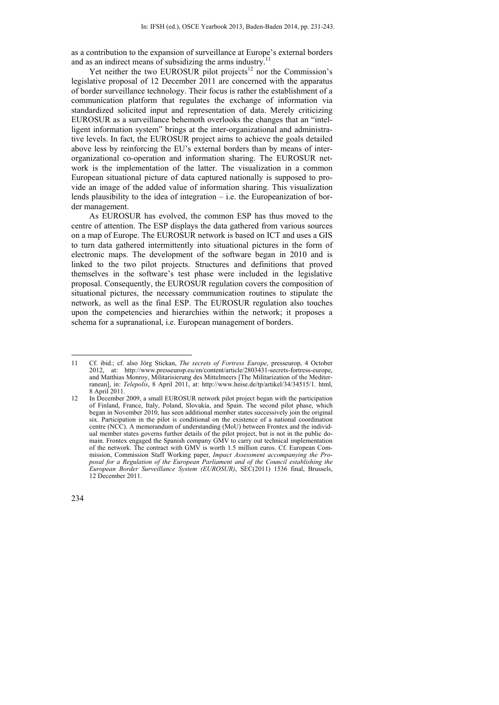as a contribution to the expansion of surveillance at Europe's external borders and as an indirect means of subsidizing the arms industry.<sup>1</sup>

Yet neither the two EUROSUR pilot projects<sup>12</sup> nor the Commission's legislative proposal of 12 December 2011 are concerned with the apparatus of border surveillance technology. Their focus is rather the establishment of a communication platform that regulates the exchange of information via standardized solicited input and representation of data. Merely criticizing EUROSUR as a surveillance behemoth overlooks the changes that an "intelligent information system" brings at the inter-organizational and administrative levels. In fact, the EUROSUR project aims to achieve the goals detailed above less by reinforcing the EU's external borders than by means of interorganizational co-operation and information sharing. The EUROSUR network is the implementation of the latter. The visualization in a common European situational picture of data captured nationally is supposed to provide an image of the added value of information sharing. This visualization lends plausibility to the idea of integration – i.e. the Europeanization of border management.

As EUROSUR has evolved, the common ESP has thus moved to the centre of attention. The ESP displays the data gathered from various sources on a map of Europe. The EUROSUR network is based on ICT and uses a GIS to turn data gathered intermittently into situational pictures in the form of electronic maps. The development of the software began in 2010 and is linked to the two pilot projects. Structures and definitions that proved themselves in the software's test phase were included in the legislative proposal. Consequently, the EUROSUR regulation covers the composition of situational pictures, the necessary communication routines to stipulate the network, as well as the final ESP. The EUROSUR regulation also touches upon the competencies and hierarchies within the network; it proposes a schema for a supranational, i.e. European management of borders.

<sup>11</sup> Cf. ibid.; cf. also Jörg Stickan, *The secrets of Fortress Europe*, presseurop, 4 October 2012, at: http://www.presseurop.eu/en/content/article/2803431-secrets-fortress-europe, and Matthias Monroy, Militarisierung des Mittelmeers [The Militarization of the Mediterranean], in: *Telepolis*, 8 April 2011, at: http://www.heise.de/tp/artikel/34/34515/1. html, 8 April 2011.

<sup>12</sup> In December 2009, a small EUROSUR network pilot project began with the participation of Finland, France, Italy, Poland, Slovakia, and Spain. The second pilot phase, which began in November 2010, has seen additional member states successively join the original six. Participation in the pilot is conditional on the existence of a national coordination centre (NCC). A memorandum of understanding (MoU) between Frontex and the individual member states governs further details of the pilot project, but is not in the public domain. Frontex engaged the Spanish company GMV to carry out technical implementation of the network. The contract with GMV is worth 1.5 million euros. Cf. European Commission, Commission Staff Working paper, *Impact Assessment accompanying the Proposal for a Regulation of the European Parliament and of the Council establishing the European Border Surveillance System (EUROSUR)*, SEC(2011) 1536 final, Brussels, 12 December 2011.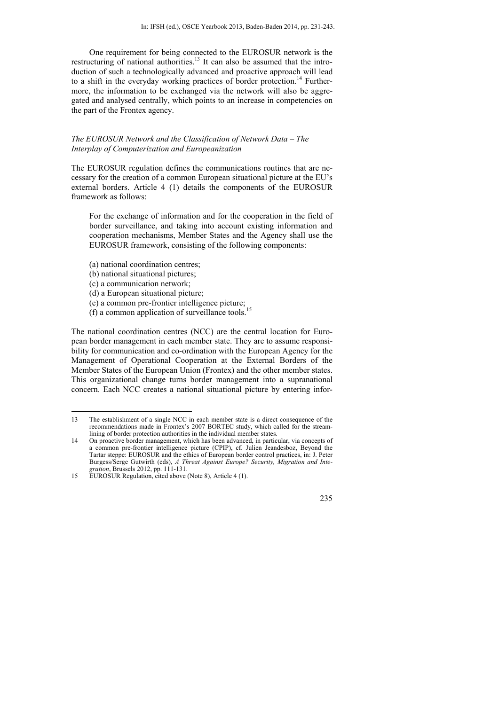One requirement for being connected to the EUROSUR network is the restructuring of national authorities.<sup>13</sup> It can also be assumed that the introduction of such a technologically advanced and proactive approach will lead to a shift in the everyday working practices of border protection.<sup>14</sup> Furthermore, the information to be exchanged via the network will also be aggregated and analysed centrally, which points to an increase in competencies on the part of the Frontex agency.

### *The EUROSUR Network and the Classification of Network Data – The Interplay of Computerization and Europeanization*

The EUROSUR regulation defines the communications routines that are necessary for the creation of a common European situational picture at the EU's external borders. Article 4 (1) details the components of the EUROSUR framework as follows:

For the exchange of information and for the cooperation in the field of border surveillance, and taking into account existing information and cooperation mechanisms, Member States and the Agency shall use the EUROSUR framework, consisting of the following components:

- (a) national coordination centres;
- (b) national situational pictures;
- (c) a communication network;

1

- (d) a European situational picture;
- (e) a common pre-frontier intelligence picture;
- (f) a common application of surveillance tools.<sup>15</sup>

The national coordination centres (NCC) are the central location for European border management in each member state. They are to assume responsibility for communication and co-ordination with the European Agency for the Management of Operational Cooperation at the External Borders of the Member States of the European Union (Frontex) and the other member states. This organizational change turns border management into a supranational concern. Each NCC creates a national situational picture by entering infor-



<sup>13</sup> The establishment of a single NCC in each member state is a direct consequence of the recommendations made in Frontex's 2007 BORTEC study, which called for the streamlining of border protection authorities in the individual member states.

<sup>14</sup> On proactive border management, which has been advanced, in particular, via concepts of a common pre-frontier intelligence picture (CPIP), cf. Julien Jeandesboz, Beyond the Tartar steppe: EUROSUR and the ethics of European border control practices, in: J. Peter Burgess/Serge Gutwirth (eds), *A Threat Against Europe? Security, Migration and Integration*, Brussels 2012, pp. 111-131.

<sup>15</sup> EUROSUR Regulation, cited above (Note 8), Article 4 (1).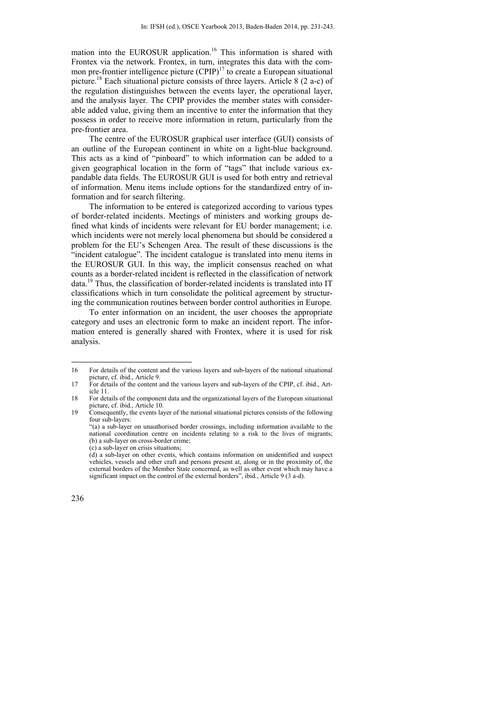mation into the EUROSUR application.<sup>16</sup> This information is shared with Frontex via the network. Frontex, in turn, integrates this data with the common pre-frontier intelligence picture  $(CPIP)^{17}$  to create a European situational picture.18 Each situational picture consists of three layers. Article 8 (2 a-c) of the regulation distinguishes between the events layer, the operational layer, and the analysis layer. The CPIP provides the member states with considerable added value, giving them an incentive to enter the information that they possess in order to receive more information in return, particularly from the pre-frontier area.

The centre of the EUROSUR graphical user interface (GUI) consists of an outline of the European continent in white on a light-blue background. This acts as a kind of "pinboard" to which information can be added to a given geographical location in the form of "tags" that include various expandable data fields. The EUROSUR GUI is used for both entry and retrieval of information. Menu items include options for the standardized entry of information and for search filtering.

The information to be entered is categorized according to various types of border-related incidents. Meetings of ministers and working groups defined what kinds of incidents were relevant for EU border management; i.e. which incidents were not merely local phenomena but should be considered a problem for the EU's Schengen Area. The result of these discussions is the "incident catalogue". The incident catalogue is translated into menu items in the EUROSUR GUI. In this way, the implicit consensus reached on what counts as a border-related incident is reflected in the classification of network data.<sup>19</sup> Thus, the classification of border-related incidents is translated into IT classifications which in turn consolidate the political agreement by structuring the communication routines between border control authorities in Europe.

To enter information on an incident, the user chooses the appropriate category and uses an electronic form to make an incident report. The information entered is generally shared with Frontex, where it is used for risk analysis.

<sup>16</sup> For details of the content and the various layers and sub-layers of the national situational picture, cf. ibid., Article 9.

<sup>17</sup> For details of the content and the various layers and sub-layers of the CPIP, cf. ibid., Article 11.

<sup>18</sup> For details of the component data and the organizational layers of the European situational picture, cf. ibid., Article 10.

<sup>19</sup> Consequently, the events layer of the national situational pictures consists of the following four sub-layers:

 <sup>&</sup>quot;(a) a sub-layer on unauthorised border crossings, including information available to the national coordination centre on incidents relating to a risk to the lives of migrants; (b) a sub-layer on cross-border crime; (c) a sub-layer on crisis situations;

 <sup>(</sup>d) a sub-layer on other events, which contains information on unidentified and suspect vehicles, vessels and other craft and persons present at, along or in the proximity of, the external borders of the Member State concerned, as well as other event which may have a significant impact on the control of the external borders", ibid., Article 9 (3 a-d).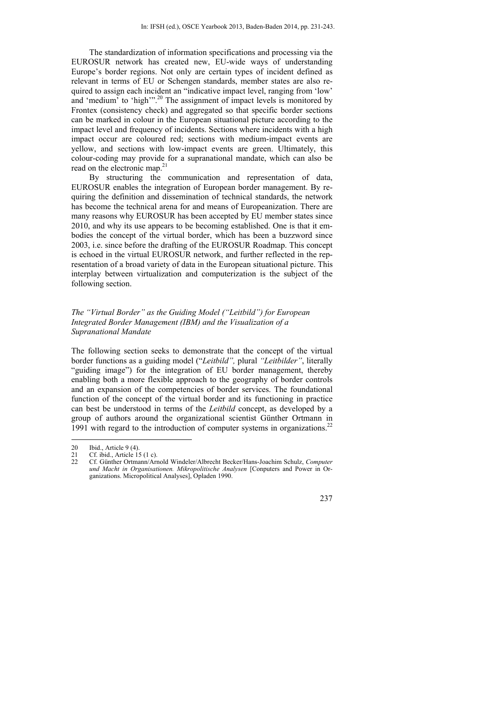The standardization of information specifications and processing via the EUROSUR network has created new, EU-wide ways of understanding Europe's border regions. Not only are certain types of incident defined as relevant in terms of EU or Schengen standards, member states are also required to assign each incident an "indicative impact level, ranging from 'low' and 'medium' to 'high'".<sup>20</sup> The assignment of impact levels is monitored by Frontex (consistency check) and aggregated so that specific border sections can be marked in colour in the European situational picture according to the impact level and frequency of incidents. Sections where incidents with a high impact occur are coloured red; sections with medium-impact events are yellow, and sections with low-impact events are green. Ultimately, this colour-coding may provide for a supranational mandate, which can also be read on the electronic map.<sup>21</sup>

By structuring the communication and representation of data, EUROSUR enables the integration of European border management. By requiring the definition and dissemination of technical standards, the network has become the technical arena for and means of Europeanization. There are many reasons why EUROSUR has been accepted by EU member states since 2010, and why its use appears to be becoming established. One is that it embodies the concept of the virtual border, which has been a buzzword since 2003, i.e. since before the drafting of the EUROSUR Roadmap. This concept is echoed in the virtual EUROSUR network, and further reflected in the representation of a broad variety of data in the European situational picture. This interplay between virtualization and computerization is the subject of the following section.

## *The "Virtual Border" as the Guiding Model ("Leitbild") for European Integrated Border Management (IBM) and the Visualization of a Supranational Mandate*

The following section seeks to demonstrate that the concept of the virtual border functions as a guiding model ("*Leitbild",* plural *"Leitbilder"*, literally "guiding image") for the integration of EU border management, thereby enabling both a more flexible approach to the geography of border controls and an expansion of the competencies of border services. The foundational function of the concept of the virtual border and its functioning in practice can best be understood in terms of the *Leitbild* concept, as developed by a group of authors around the organizational scientist Günther Ortmann in 1991 with regard to the introduction of computer systems in organizations.<sup>2</sup>

<sup>22</sup> Cf. Günther Ortmann/Arnold Windeler/Albrecht Becker/Hans-Joachim Schulz, *Computer und Macht in Organisationen. Mikropolitische Analysen* [Conputers and Power in Organizations. Micropolitical Analyses], Opladen 1990.



<sup>20</sup> Ibid., Article 9 (4).<br>21 Cf. ibid., Article 1

<sup>21</sup> Cf. ibid., Article 15 (1 c).<br>22 Cf. Günther Ortmann/Art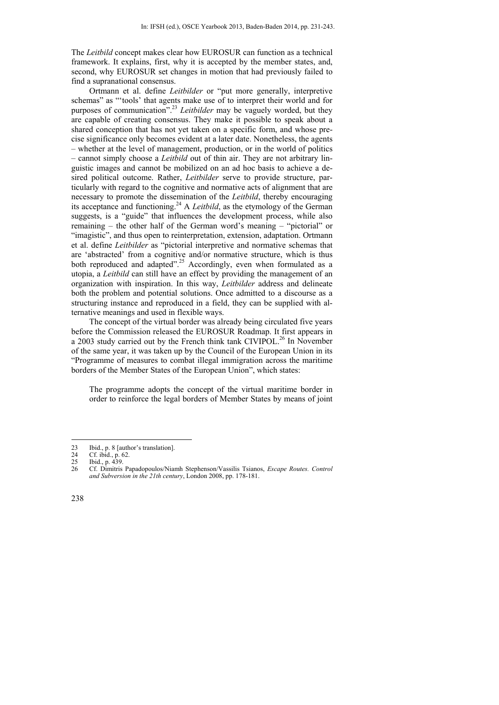The *Leitbild* concept makes clear how EUROSUR can function as a technical framework. It explains, first, why it is accepted by the member states, and, second, why EUROSUR set changes in motion that had previously failed to find a supranational consensus.

Ortmann et al. define *Leitbilder* or "put more generally, interpretive schemas" as "'tools' that agents make use of to interpret their world and for purposes of communication".23 *Leitbilder* may be vaguely worded, but they are capable of creating consensus. They make it possible to speak about a shared conception that has not yet taken on a specific form, and whose precise significance only becomes evident at a later date. Nonetheless, the agents – whether at the level of management, production, or in the world of politics – cannot simply choose a *Leitbild* out of thin air. They are not arbitrary linguistic images and cannot be mobilized on an ad hoc basis to achieve a desired political outcome. Rather, *Leitbilder* serve to provide structure, particularly with regard to the cognitive and normative acts of alignment that are necessary to promote the dissemination of the *Leitbild*, thereby encouraging its acceptance and functioning.24 A *Leitbild*, as the etymology of the German suggests, is a "guide" that influences the development process, while also remaining – the other half of the German word's meaning – "pictorial" or "imagistic", and thus open to reinterpretation, extension, adaptation. Ortmann et al. define *Leitbilder* as "pictorial interpretive and normative schemas that are 'abstracted' from a cognitive and/or normative structure, which is thus both reproduced and adapted".<sup>25</sup> Accordingly, even when formulated as a utopia, a *Leitbild* can still have an effect by providing the management of an organization with inspiration. In this way, *Leitbilder* address and delineate both the problem and potential solutions. Once admitted to a discourse as a structuring instance and reproduced in a field, they can be supplied with alternative meanings and used in flexible ways.

The concept of the virtual border was already being circulated five years before the Commission released the EUROSUR Roadmap. It first appears in a 2003 study carried out by the French think tank CIVIPOL.<sup>26</sup> In November of the same year, it was taken up by the Council of the European Union in its "Programme of measures to combat illegal immigration across the maritime borders of the Member States of the European Union", which states:

The programme adopts the concept of the virtual maritime border in order to reinforce the legal borders of Member States by means of joint

<sup>23</sup> Ibid., p. 8 [author's translation].<br>24 Cf ibid. p. 62

<sup>24</sup> Cf. ibid., p. 62.<br>25 Ibid. p. 439

<sup>25</sup> Ibid., p. 439.<br>26 Cf Dimitris

<sup>26</sup> Cf. Dimitris Papadopoulos/Niamh Stephenson/Vassilis Tsianos, *Escape Routes. Control and Subversion in the 21th century*, London 2008, pp. 178-181.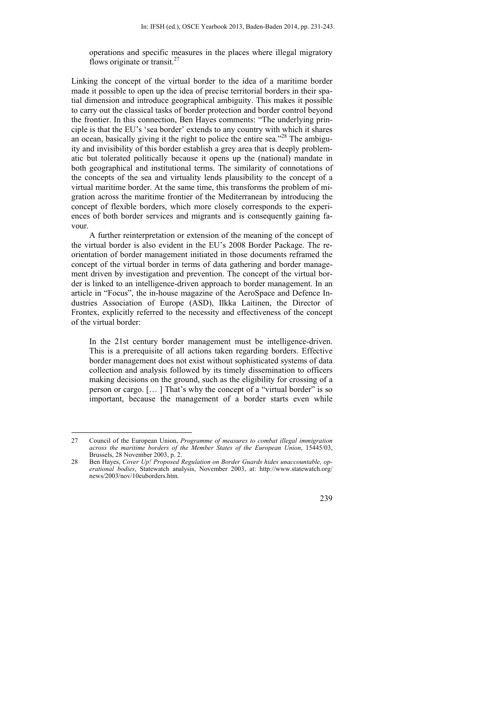operations and specific measures in the places where illegal migratory flows originate or transit. $<sup>2</sup>$ </sup>

Linking the concept of the virtual border to the idea of a maritime border made it possible to open up the idea of precise territorial borders in their spatial dimension and introduce geographical ambiguity. This makes it possible to carry out the classical tasks of border protection and border control beyond the frontier. In this connection, Ben Hayes comments: "The underlying principle is that the EU's 'sea border' extends to any country with which it shares an ocean, basically giving it the right to police the entire sea."<sup>28</sup> The ambiguity and invisibility of this border establish a grey area that is deeply problematic but tolerated politically because it opens up the (national) mandate in both geographical and institutional terms. The similarity of connotations of the concepts of the sea and virtuality lends plausibility to the concept of a virtual maritime border. At the same time, this transforms the problem of migration across the maritime frontier of the Mediterranean by introducing the concept of flexible borders, which more closely corresponds to the experiences of both border services and migrants and is consequently gaining favour.

A further reinterpretation or extension of the meaning of the concept of the virtual border is also evident in the EU's 2008 Border Package. The reorientation of border management initiated in those documents reframed the concept of the virtual border in terms of data gathering and border management driven by investigation and prevention. The concept of the virtual border is linked to an intelligence-driven approach to border management. In an article in "Focus", the in-house magazine of the AeroSpace and Defence Industries Association of Europe (ASD), Ilkka Laitinen, the Director of Frontex, explicitly referred to the necessity and effectiveness of the concept of the virtual border:

In the 21st century border management must be intelligence-driven. This is a prerequisite of all actions taken regarding borders. Effective border management does not exist without sophisticated systems of data collection and analysis followed by its timely dissemination to officers making decisions on the ground, such as the eligibility for crossing of a person or cargo. [… ] That's why the concept of a "virtual border" is so important, because the management of a border starts even while

<sup>28</sup> Ben Hayes, *Cover Up! Proposed Regulation on Border Guards hides unaccountable, operational bodies*, Statewatch analysis, November 2003, at: http://www.statewatch.org/ news/2003/nov/10euborders.htm.



<sup>27</sup> Council of the European Union, *Programme of measures to combat illegal immigration across the maritime borders of the Member States of the European Union*, 15445/03, Brussels, 28 November 2003, p. 2.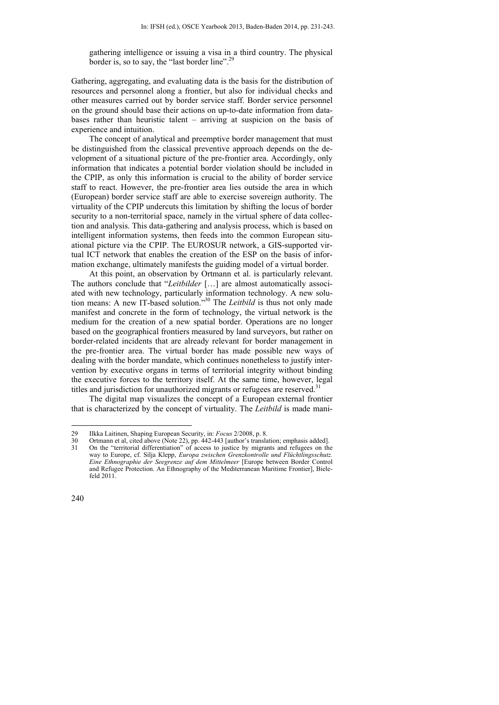gathering intelligence or issuing a visa in a third country. The physical border is, so to say, the "last border line".<sup>29</sup>

Gathering, aggregating, and evaluating data is the basis for the distribution of resources and personnel along a frontier, but also for individual checks and other measures carried out by border service staff. Border service personnel on the ground should base their actions on up-to-date information from databases rather than heuristic talent – arriving at suspicion on the basis of experience and intuition.

The concept of analytical and preemptive border management that must be distinguished from the classical preventive approach depends on the development of a situational picture of the pre-frontier area. Accordingly, only information that indicates a potential border violation should be included in the CPIP, as only this information is crucial to the ability of border service staff to react. However, the pre-frontier area lies outside the area in which (European) border service staff are able to exercise sovereign authority. The virtuality of the CPIP undercuts this limitation by shifting the locus of border security to a non-territorial space, namely in the virtual sphere of data collection and analysis. This data-gathering and analysis process, which is based on intelligent information systems, then feeds into the common European situational picture via the CPIP. The EUROSUR network, a GIS-supported virtual ICT network that enables the creation of the ESP on the basis of information exchange, ultimately manifests the guiding model of a virtual border.

At this point, an observation by Ortmann et al. is particularly relevant. The authors conclude that "*Leitbilder* […] are almost automatically associated with new technology, particularly information technology. A new solution means: A new IT-based solution."30 The *Leitbild* is thus not only made manifest and concrete in the form of technology, the virtual network is the medium for the creation of a new spatial border. Operations are no longer based on the geographical frontiers measured by land surveyors, but rather on border-related incidents that are already relevant for border management in the pre-frontier area. The virtual border has made possible new ways of dealing with the border mandate, which continues nonetheless to justify intervention by executive organs in terms of territorial integrity without binding the executive forces to the territory itself. At the same time, however, legal titles and jurisdiction for unauthorized migrants or refugees are reserved.<sup>31</sup>

The digital map visualizes the concept of a European external frontier that is characterized by the concept of virtuality. The *Leitbild* is made mani-

<sup>29</sup> Ilkka Laitinen, Shaping European Security, in: *Focus* 2/2008, p. 8.

<sup>30</sup> Ortmann et al, cited above (Note 22), pp. 442-443 [author's translation; emphasis added].

<sup>31</sup> On the "territorial differentiation" of access to justice by migrants and refugees on the way to Europe, cf. Silja Klepp, *Europa zwischen Grenzkontrolle und Flüchtlingsschutz. Eine Ethnographie der Seegrenze auf dem Mittelmeer* [Europe between Border Control and Refugee Protection. An Ethnography of the Mediterranean Maritime Frontier], Bielefeld 2011.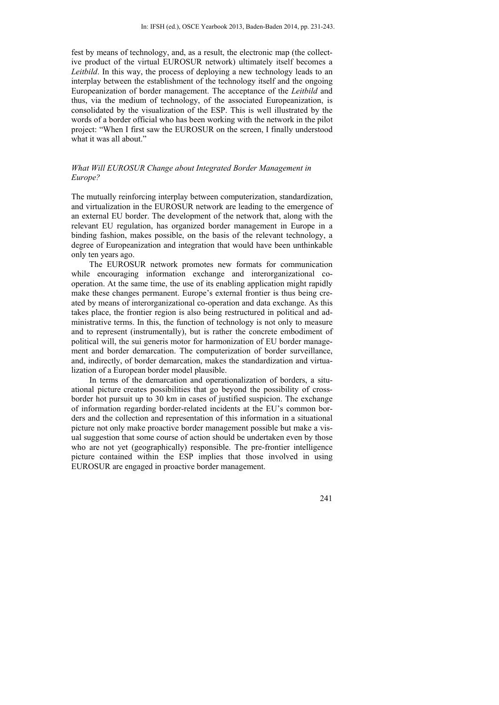fest by means of technology, and, as a result, the electronic map (the collective product of the virtual EUROSUR network) ultimately itself becomes a *Leitbild*. In this way, the process of deploying a new technology leads to an interplay between the establishment of the technology itself and the ongoing Europeanization of border management. The acceptance of the *Leitbild* and thus, via the medium of technology, of the associated Europeanization, is consolidated by the visualization of the ESP. This is well illustrated by the words of a border official who has been working with the network in the pilot project: "When I first saw the EUROSUR on the screen, I finally understood what it was all about."

#### *What Will EUROSUR Change about Integrated Border Management in Europe?*

The mutually reinforcing interplay between computerization, standardization, and virtualization in the EUROSUR network are leading to the emergence of an external EU border. The development of the network that, along with the relevant EU regulation, has organized border management in Europe in a binding fashion, makes possible, on the basis of the relevant technology, a degree of Europeanization and integration that would have been unthinkable only ten years ago.

The EUROSUR network promotes new formats for communication while encouraging information exchange and interorganizational cooperation. At the same time, the use of its enabling application might rapidly make these changes permanent. Europe's external frontier is thus being created by means of interorganizational co-operation and data exchange. As this takes place, the frontier region is also being restructured in political and administrative terms. In this, the function of technology is not only to measure and to represent (instrumentally), but is rather the concrete embodiment of political will, the sui generis motor for harmonization of EU border management and border demarcation. The computerization of border surveillance, and, indirectly, of border demarcation, makes the standardization and virtualization of a European border model plausible.

In terms of the demarcation and operationalization of borders, a situational picture creates possibilities that go beyond the possibility of crossborder hot pursuit up to 30 km in cases of justified suspicion. The exchange of information regarding border-related incidents at the EU's common borders and the collection and representation of this information in a situational picture not only make proactive border management possible but make a visual suggestion that some course of action should be undertaken even by those who are not yet (geographically) responsible. The pre-frontier intelligence picture contained within the ESP implies that those involved in using EUROSUR are engaged in proactive border management.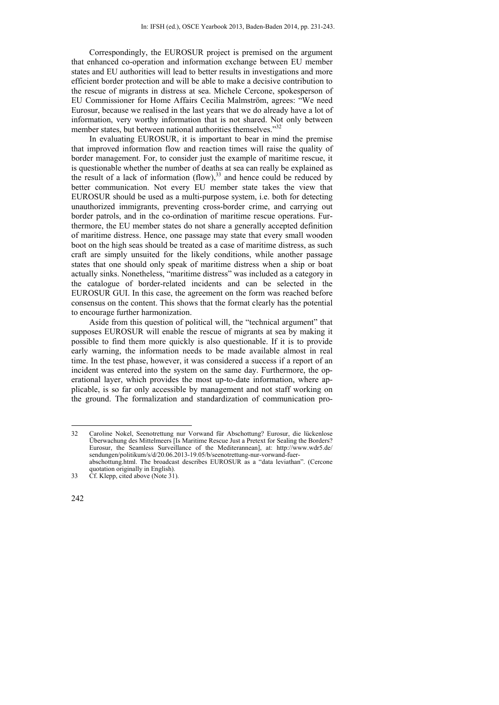Correspondingly, the EUROSUR project is premised on the argument that enhanced co-operation and information exchange between EU member states and EU authorities will lead to better results in investigations and more efficient border protection and will be able to make a decisive contribution to the rescue of migrants in distress at sea. Michele Cercone, spokesperson of EU Commissioner for Home Affairs Cecilia Malmström, agrees: "We need Eurosur, because we realised in the last years that we do already have a lot of information, very worthy information that is not shared. Not only between member states, but between national authorities themselves."<sup>32</sup>

In evaluating EUROSUR, it is important to bear in mind the premise that improved information flow and reaction times will raise the quality of border management. For, to consider just the example of maritime rescue, it is questionable whether the number of deaths at sea can really be explained as the result of a lack of information  $(flow)$ ,  $33$  and hence could be reduced by better communication. Not every EU member state takes the view that EUROSUR should be used as a multi-purpose system, i.e. both for detecting unauthorized immigrants, preventing cross-border crime, and carrying out border patrols, and in the co-ordination of maritime rescue operations. Furthermore, the EU member states do not share a generally accepted definition of maritime distress. Hence, one passage may state that every small wooden boot on the high seas should be treated as a case of maritime distress, as such craft are simply unsuited for the likely conditions, while another passage states that one should only speak of maritime distress when a ship or boat actually sinks. Nonetheless, "maritime distress" was included as a category in the catalogue of border-related incidents and can be selected in the EUROSUR GUI. In this case, the agreement on the form was reached before consensus on the content. This shows that the format clearly has the potential to encourage further harmonization.

Aside from this question of political will, the "technical argument" that supposes EUROSUR will enable the rescue of migrants at sea by making it possible to find them more quickly is also questionable. If it is to provide early warning, the information needs to be made available almost in real time. In the test phase, however, it was considered a success if a report of an incident was entered into the system on the same day. Furthermore, the operational layer, which provides the most up-to-date information, where applicable, is so far only accessible by management and not staff working on the ground. The formalization and standardization of communication pro-

<sup>1</sup> 32 Caroline Nokel, Seenotrettung nur Vorwand für Abschottung? Eurosur, die lückenlose Überwachung des Mittelmeers [Is Maritime Rescue Just a Pretext for Sealing the Borders? Eurosur, the Seamless Surveillance of the Mediterannean], at: http://www.wdr5.de/ sendungen/politikum/s/d/20.06.2013-19.05/b/seenotrettung-nur-vorwand-fuerabschottung.html. The broadcast describes EUROSUR as a "data leviathan". (Cercone

quotation originally in English). 33 Cf. Klepp, cited above (Note 31).